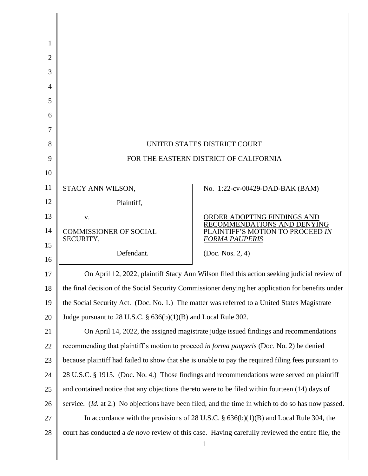| UNITED STATES DISTRICT COURT                                                                                             |                                                               |  |  |
|--------------------------------------------------------------------------------------------------------------------------|---------------------------------------------------------------|--|--|
| FOR THE EASTERN DISTRICT OF CALIFORNIA                                                                                   |                                                               |  |  |
|                                                                                                                          |                                                               |  |  |
| STACY ANN WILSON,                                                                                                        | No. 1:22-cv-00429-DAD-BAK (BAM)                               |  |  |
| Plaintiff,                                                                                                               |                                                               |  |  |
| V.                                                                                                                       | ORDER ADOPTING FINDINGS AND                                   |  |  |
| <b>COMMISSIONER OF SOCIAL</b>                                                                                            | RECOMMENDATIONS AND DENYING<br>AINTIFF'S MOTION TO PROCEED IN |  |  |
|                                                                                                                          | FORMA PAUPERIS                                                |  |  |
|                                                                                                                          | (Doc. Nos. $2, 4$ )                                           |  |  |
| On April 12, 2022, plaintiff Stacy Ann Wilson filed this action seeking judicial review of                               |                                                               |  |  |
| the final decision of the Social Security Commissioner denying her application for benefits under                        |                                                               |  |  |
| the Social Security Act. (Doc. No. 1.) The matter was referred to a United States Magistrate                             |                                                               |  |  |
| Judge pursuant to 28 U.S.C. $\S$ 636(b)(1)(B) and Local Rule 302.                                                        |                                                               |  |  |
| On April 14, 2022, the assigned magistrate judge issued findings and recommendations                                     |                                                               |  |  |
| recommending that plaintiff's motion to proceed in forma pauperis (Doc. No. 2) be denied                                 |                                                               |  |  |
| because plaintiff had failed to show that she is unable to pay the required filing fees pursuant to                      |                                                               |  |  |
| 28 U.S.C. § 1915. (Doc. No. 4.) Those findings and recommendations were served on plaintiff                              |                                                               |  |  |
| and contained notice that any objections thereto were to be filed within fourteen (14) days of                           |                                                               |  |  |
| service. ( <i>Id.</i> at 2.) No objections have been filed, and the time in which to do so has now passed.               |                                                               |  |  |
| In accordance with the provisions of 28 U.S.C. $\S$ 636(b)(1)(B) and Local Rule 304, the                                 |                                                               |  |  |
| court has conducted a <i>de novo</i> review of this case. Having carefully reviewed the entire file, the<br>$\mathbf{1}$ |                                                               |  |  |
|                                                                                                                          | SECURITY,<br>Defendant.                                       |  |  |